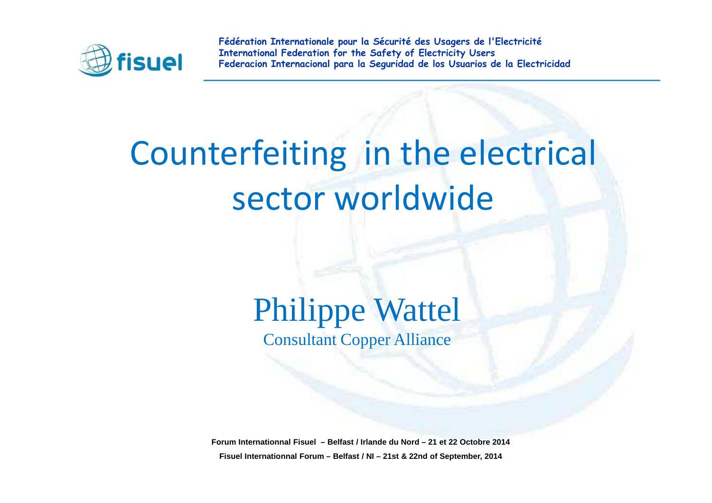

# Counterfeiting in the electrical sector worldwide

### Philippe WattelConsultant Copper Alliance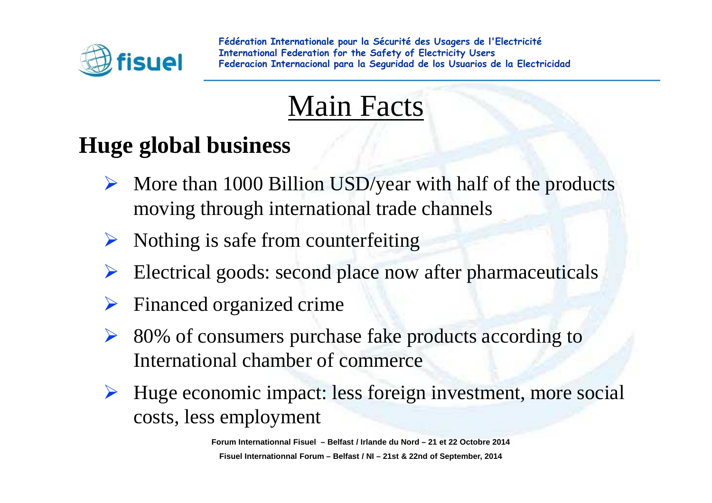

## Main Facts

### **Huge global business**

- $\triangleright$  More than 1000 Billion USD/year with half of the products moving through international trade channels
- $\blacktriangleright$ Nothing is safe from counterfeiting
- $\sum_{i=1}^{n}$ Electrical goods: second place now after <sup>p</sup>harmaceuticals
- $\blacktriangleright$ Financed organized crime
- $\triangleright$  80% of consumers purchase fake products according to International chamber of commerce
- $\blacktriangleright$  Huge economic impact: less foreign investment, more social costs, less employment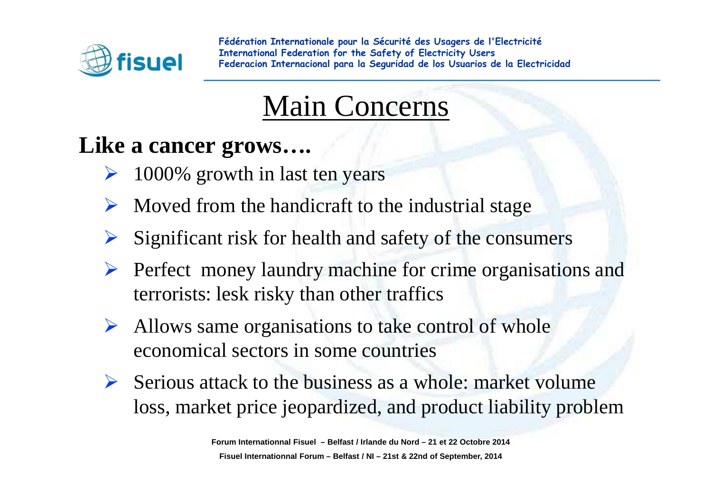

### Main Concerns

#### **Like a cancer grows….**

- $\sum_{i=1}^{n}$ 1000% growth in last ten years
- $\blacktriangleright$  Moved from the handicraft to the industrial stage
- $\blacktriangleright$ Significant risk for health and safety of the consumers
- $\triangleright$  Perfect money laundry machine for crime organisations and terrorists: lesk risky than other traffics
- $\blacktriangleright$  Allows same organisations to take control of whole economical sectors in some countries
- $\triangleright$  Serious attack to the business as a whole: market volume loss, market price jeopardized, and product liability problem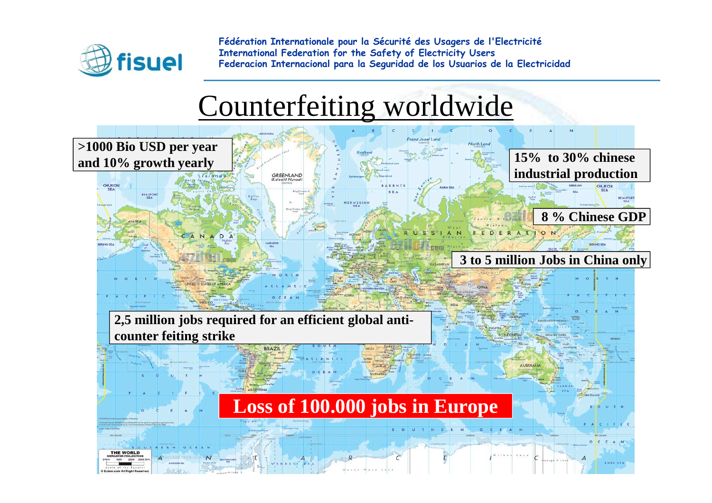

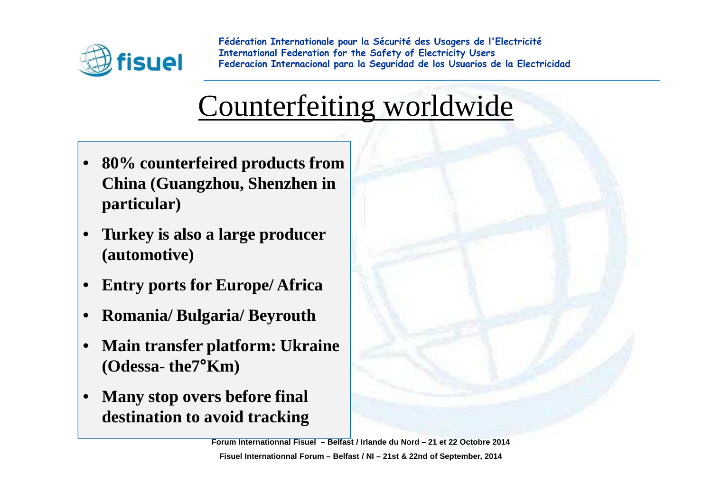

## Counterfeiting worldwide

- **80% counterfeired products from China (Guangzhou, Shenzhen in particular)**
- $\bullet$  **Turkey is also a large producer(automotive)**
- •**Entry ports for Europe/ Africa**
- •**Romania/ Bulgaria/ Beyrouth**
- • **Main transfer <sup>p</sup>latform: Ukraine(Odessa- the7°Km)**
- $\bullet$  **Many stop overs before final destination to avoid tracking**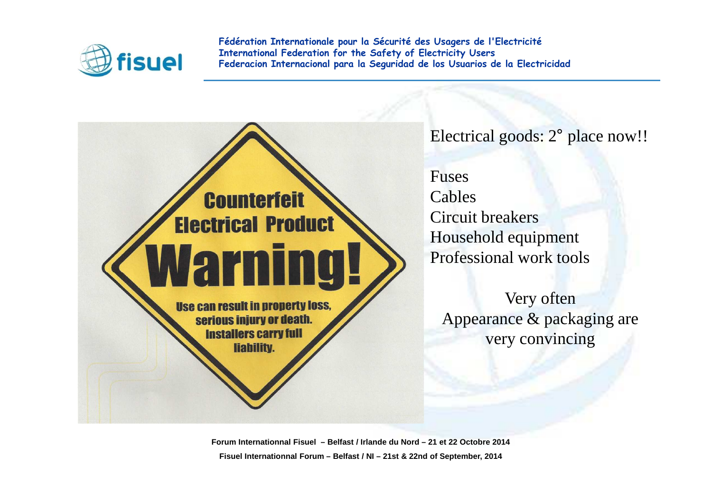

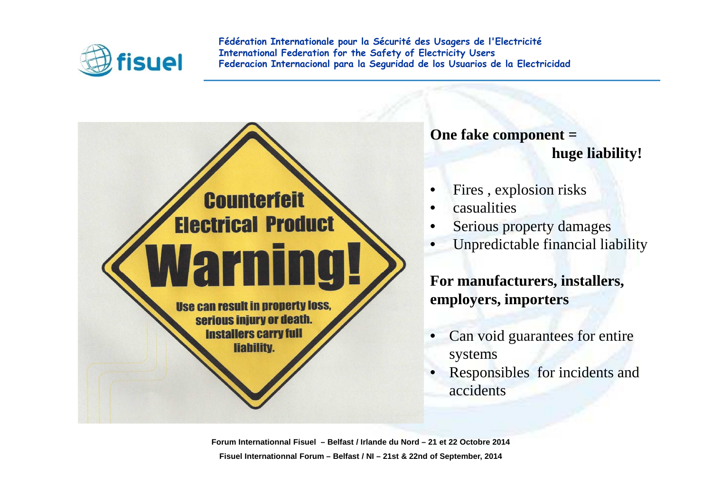

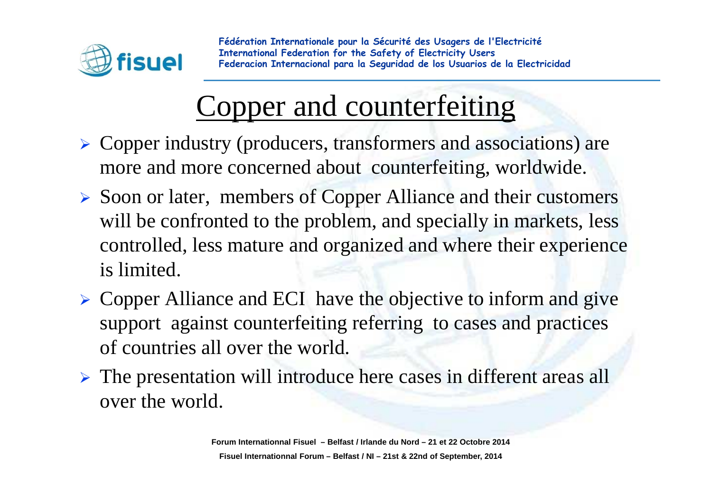

# Copper and counterfeiting

- > Copper industry (producers, transformers and associations) are more and more concerned about counterfeiting, worldwide.
- ▶ Soon or later, members of Copper Alliance and their customers will be confronted to the problem, and specially in markets, less controlled, less mature and organized and where their experienceis limited.
- $\triangleright$  Copper Alliance and ECI have the objective to inform and give support against counterfeiting referring to cases and practices of countries all over the world.
- > The presentation will introduce here cases in different areas all over the world.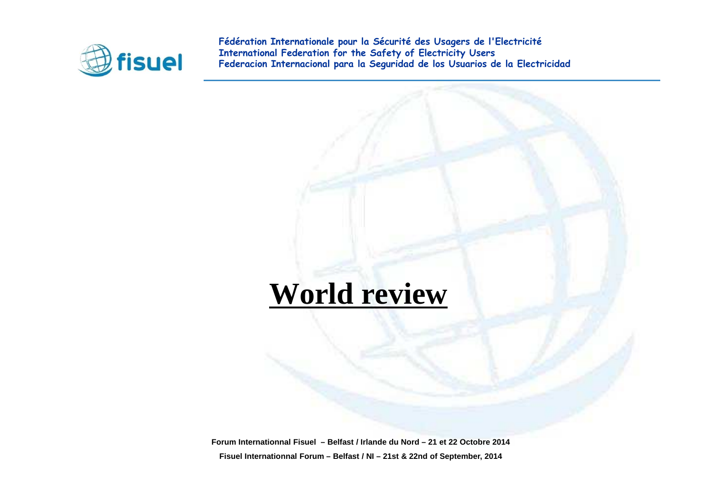

### **World review**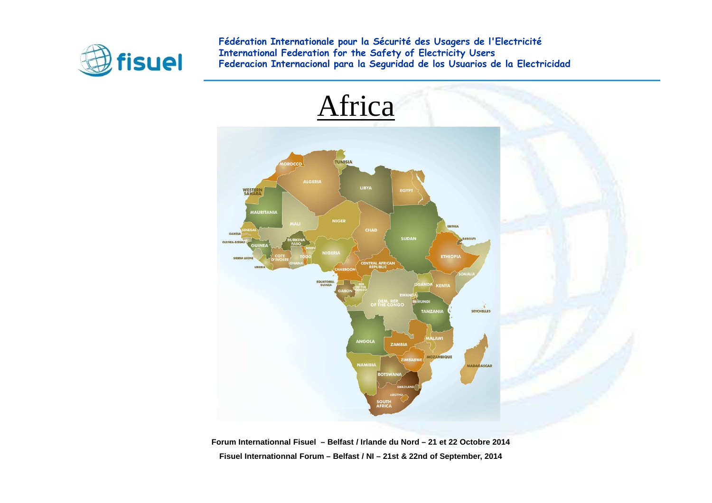

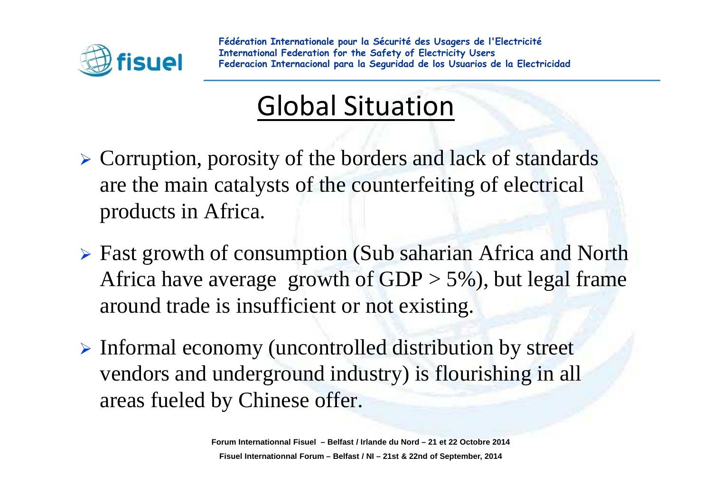

### Global Situation

- Corruption, porosity of the borders and lack of standards are the main catalysts of the counterfeiting of electricalproducts in Africa.
- ► Fast growth of consumption (Sub saharian Africa and North Africa have average growth of  $GDP > 5\%$ ), but legal frame around trade is insufficient or not existing.
- Informal economy (uncontrolled distribution by street vendors and underground industry) is flourishing in all areas fueled by Chinese offer.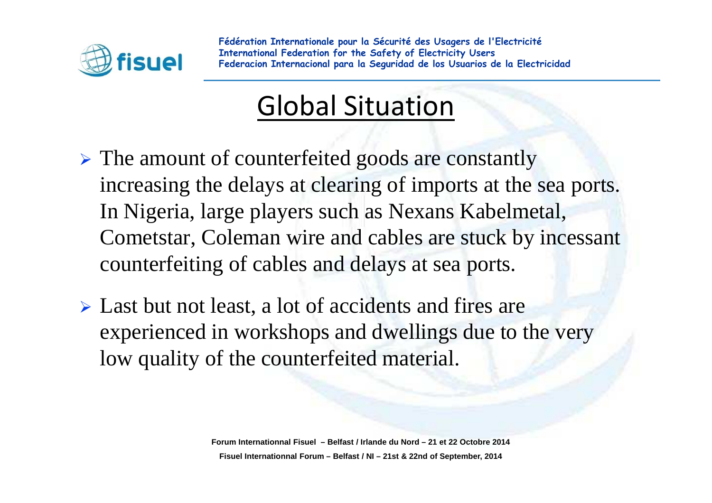

### Global Situation

- > The amount of counterfeited goods are constantly increasing the delays at clearing of imports at the sea ports. In Nigeria, large players such as Nexans Kabelmetal, Cometstar, Coleman wire and cables are stuck by incessant counterfeiting of cables and delays at sea ports.
- > Last but not least, a lot of accidents and fires are experienced in workshops and dwellings due to the verylow quality of the counterfeited material.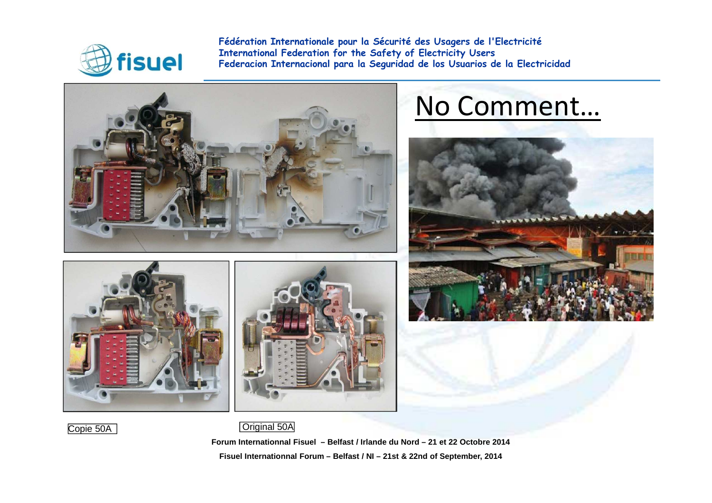

Copie 50A

**Fédération Internationale pour la Sécurité des Usagers de l'ElectricitéInternational Federation for the Safety of Electricity Users Federacion Internacional para la Seguridad de los Usuarios de la Electricidad**



### No Comment…





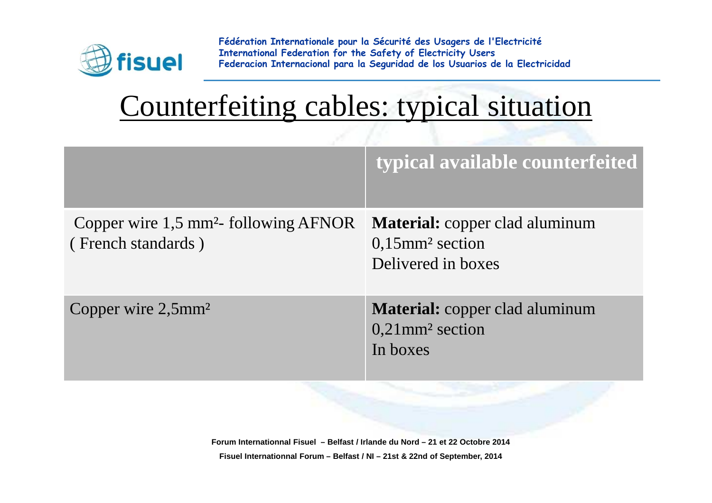

## Counterfeiting cables: typical situation

|                                                                         | typical available counterfeited                                                               |
|-------------------------------------------------------------------------|-----------------------------------------------------------------------------------------------|
| Copper wire 1,5 mm <sup>2</sup> - following AFNOR<br>(French standards) | <b>Material:</b> copper clad aluminum<br>$0,15$ mm <sup>2</sup> section<br>Delivered in boxes |
| Copper wire $2,5$ mm <sup>2</sup>                                       | <b>Material:</b> copper clad aluminum<br>$0,21$ mm <sup>2</sup> section<br>In boxes           |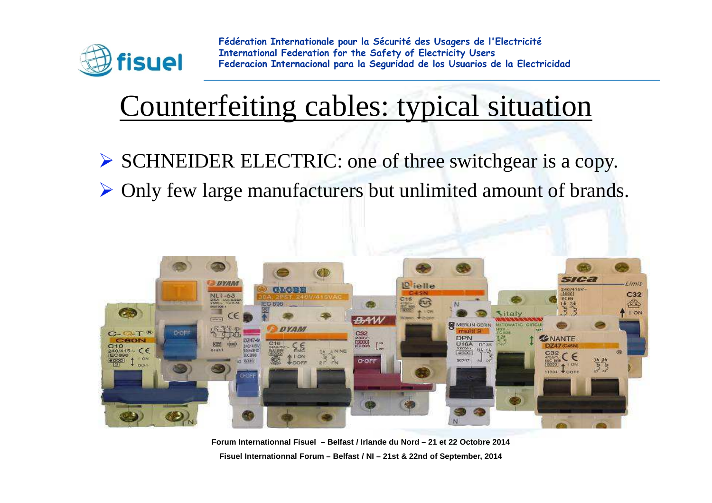

## Counterfeiting cables: typical situation

- SCHNEIDER ELECTRIC: one of three switchgear is a copy.
- Only few large manufacturers but unlimited amount of brands.



**Forum Internationnal Fisuel – Belfast / Irlande du Nord – 21 et 22 Octobre 2014Fisuel Internationnal Forum – Belfast / NI – 21st & 22nd of September, 2014**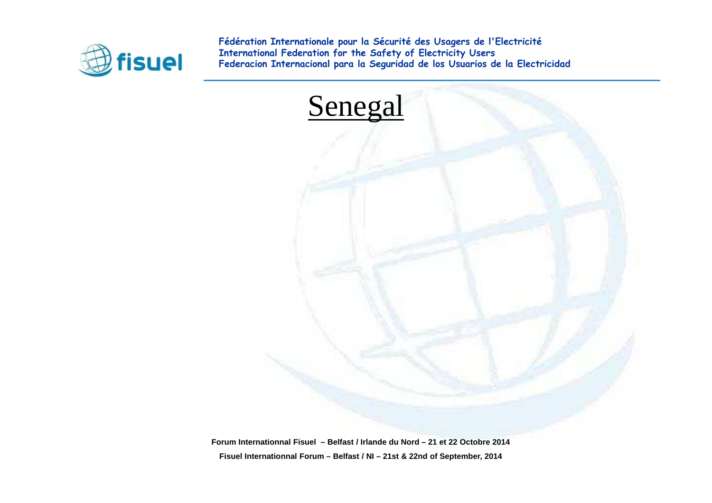

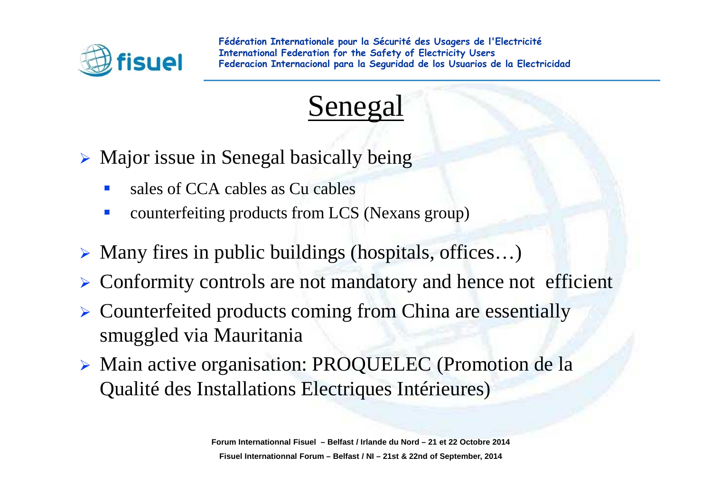



- Major issue in Senegal basically being
	- $\mathcal{L}_{\mathcal{A}}$ sales of CCA cables as Cu cables
	- $\mathbb{R}^3$ counterfeiting products from LCS (Nexans group)
- Many fires in public buildings (hospitals, offices…)
- $\blacktriangleright$ Conformity controls are not mandatory and hence not efficient
- > Counterfeited products coming from China are essentially smuggled via Mauritania
- Main active organisation: PROQUELEC (Promotion de la Qualité des Installations Electriques Intérieures)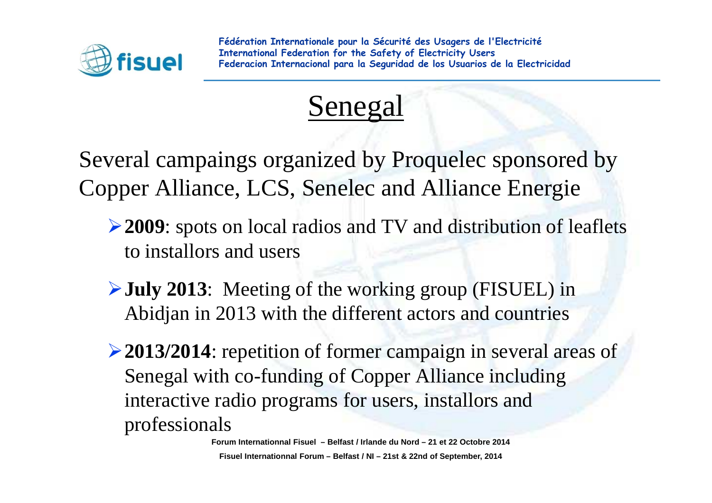



Several campaings organized by Proquelec sponsored byCopper Alliance, LCS, Senelec and Alliance Energie

- **2009**: spots on local radios and TV and distribution of leaflets to installors and users
- **July 2013**: Meeting of the working group (FISUEL) in Abidjan in 2013 with the different actors and countries
- **2013/2014**: repetition of former campaign in several areas of Senegal with co-funding of Copper Alliance including interactive radio programs for users, installors and professionals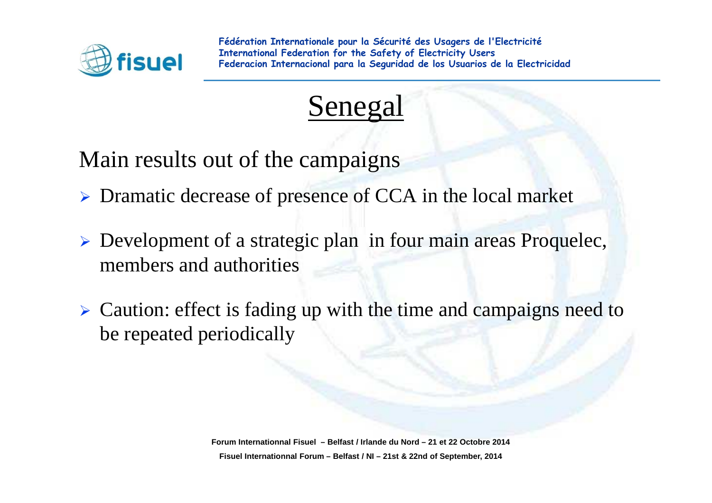



Main results out of the campaigns

- > Dramatic decrease of presence of CCA in the local market
- > Development of a strategic plan in four main areas Proquelec, members and authorities
- Caution: effect is fading up with the time and campaigns need to be repeated periodically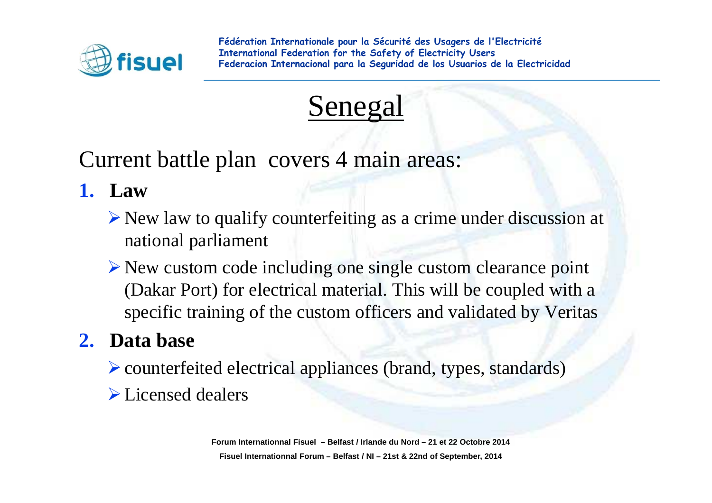

### Senegal

Current battle plan covers 4 main areas:

- **1. Law** 
	- $\triangleright$  New law to qualify counterfeiting as a crime under discussion at national parliament
	- New custom code including one single custom clearance point (Dakar Port) for electrical material. This will be coupled with a specific training of the custom officers and validated by Veritas

#### **2. Data base**

- counterfeited electrical appliances (brand, types, standards)
- $\triangleright$  Licensed dealers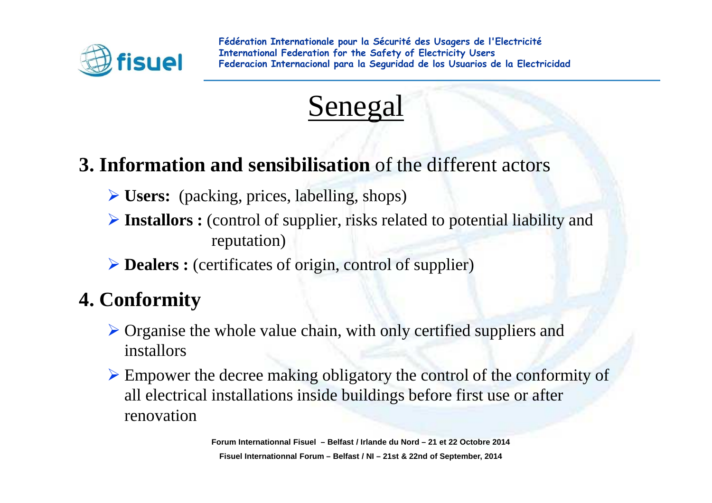



#### **3. Information and sensibilisation** of the different actors

- **Users:** (packing, prices, labelling, shops)
- **Installors :** (control of supplier, risks related to potential liability and reputation)
- **Dealers :** (certificates of origin, control of supplier)

#### **4. Conformity**

- $\triangleright$  Organise the whole value chain, with only certified suppliers and installars installors
- $\triangleright$  Empower the decree making obligatory the control of the conformity of all electrical installations inside buildings before first use or afterrenovation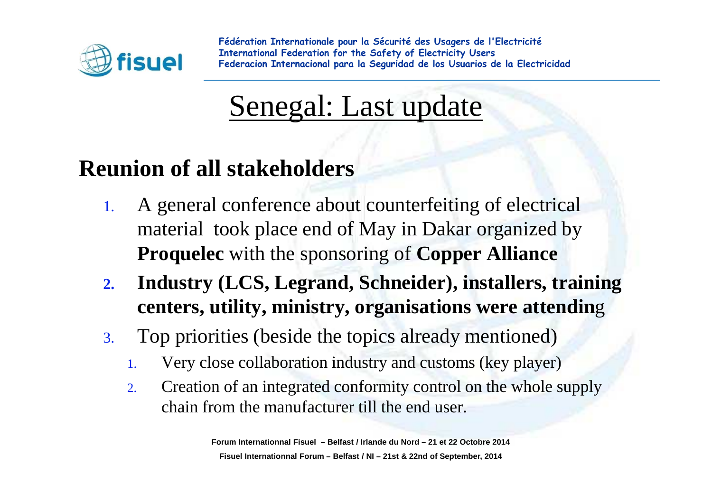

### Senegal: Last update

#### **Reunion of all stakeholders**

- 1. A general conference about counterfeiting of electricalmaterial took place end of May in Dakar organized by **Proquelec** with the sponsoring of **Copper Alliance**
- **2. Industry (LCS, Legrand, Schneider), installers, training centers, utility, ministry, organisations were attendin**g
- 3. Top priorities (beside the topics already mentioned)
	- 1.Very close collaboration industry and customs (key player)
	- 2. Creation of an integrated conformity control on the whole supplychain from the manufacturer till the end user.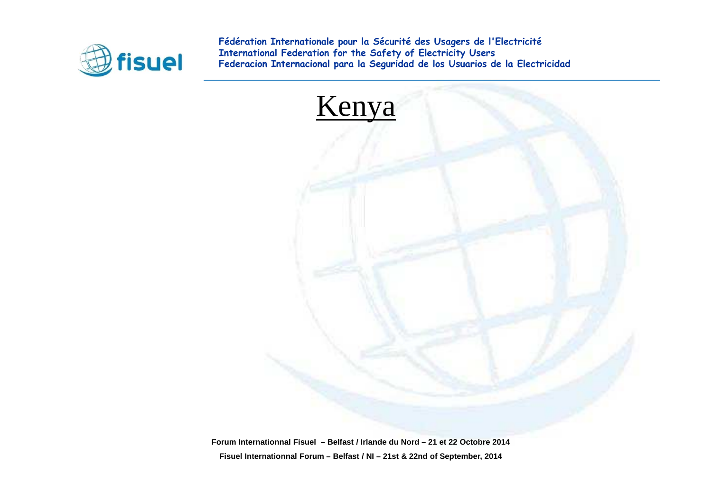

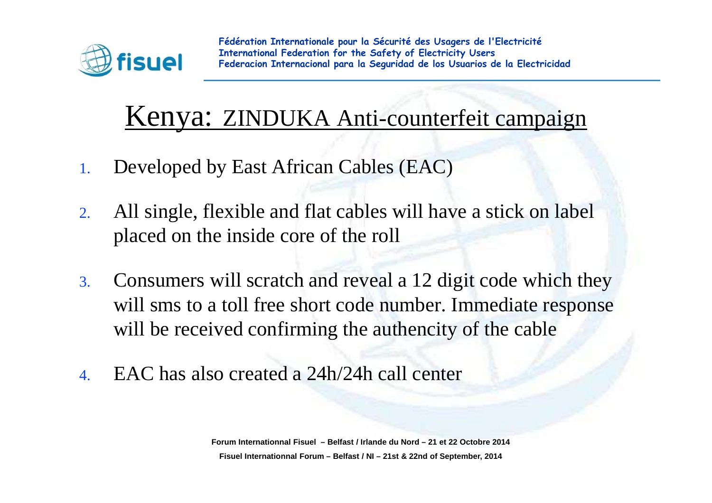

### Kenya: ZINDUKA Anti-counterfeit campaign

- 1.Developed by East African Cables (EAC)
- 2. All single, flexible and flat cables will have a stick on label placed on the inside core of the roll
- 3. Consumers will scratch and reveal a 12 digit code which they will sms to a toll free short code number. Immediate responsewill be received confirming the authencity of the cable
- 4.EAC has also created a 24h/24h call center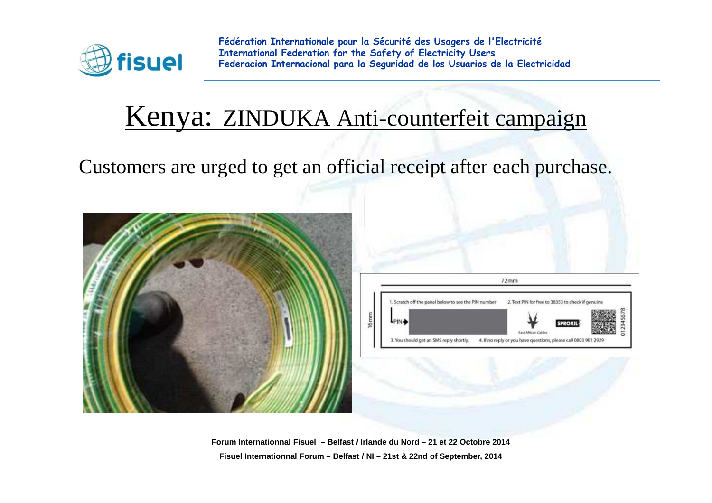

### Kenya: ZINDUKA Anti-counterfeit campaign

Customers are urged to get an official receipt after each purchase.



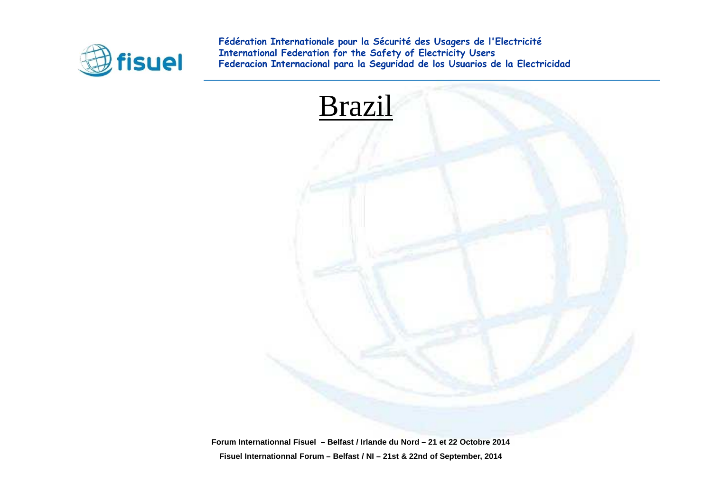

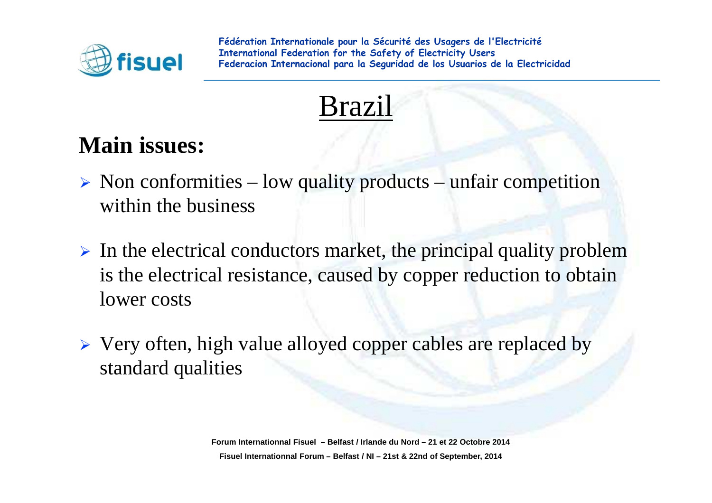



### **Main issues:**

- $\triangleright$  Non conformities low quality products unfair competition within the business
- $\triangleright$  In the electrical conductors market, the principal quality problem is the electrical resistance, caused by copper reduction to obtainlower costs
- $\triangleright$  Very often, high value alloyed copper cables are replaced by standard qualities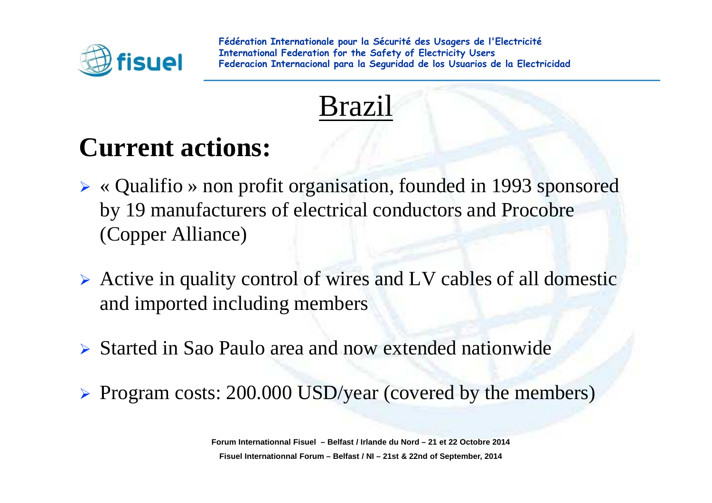

### Brazil

### **Current actions:**

- « Qualifio » non profit organisation, founded in 1993 sponsored by 19 manufacturers of electrical conductors and Procobre(Copper Alliance)
- Active in quality control of wires and LV cables of all domestic and imported including members
- Started in Sao Paulo area and now extended nationwide
- ▶ Program costs: 200.000 USD/year (covered by the members)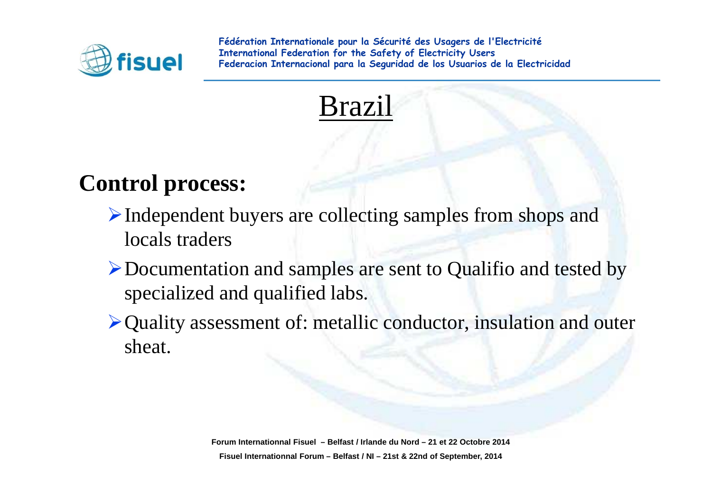

### Brazil

#### **Control process:**

- Independent buyers are collecting samples from shops and locals traders
- Documentation and samples are sent to Qualifio and tested by specialized and qualified labs.
- Quality assessment of: metallic conductor, insulation and outersheat.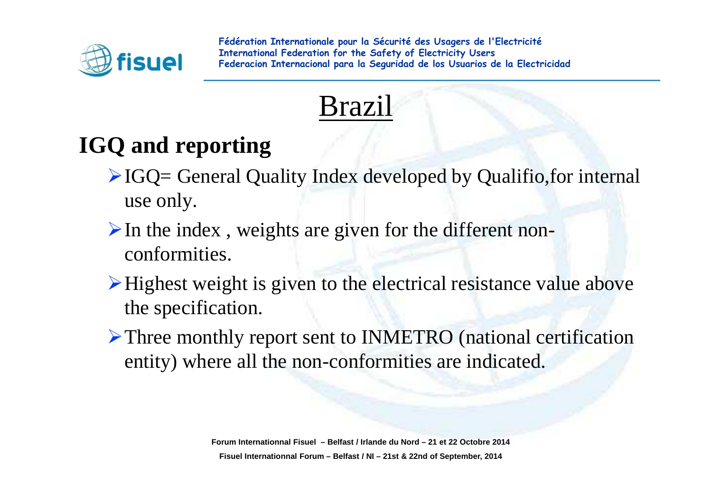

### Brazil

### **IGQ and reporting**

- $\triangle$ IGQ= General Quality Index developed by Qualifio, for internal use only.
- $\triangleright$  In the index, weights are given for the different nonconformities.
- Highest weight is <sup>g</sup>iven to the electrical resistance value abovethe specification.
- Three monthly report sent to INMETRO (national certification entity) where all the non-conformities are indicated.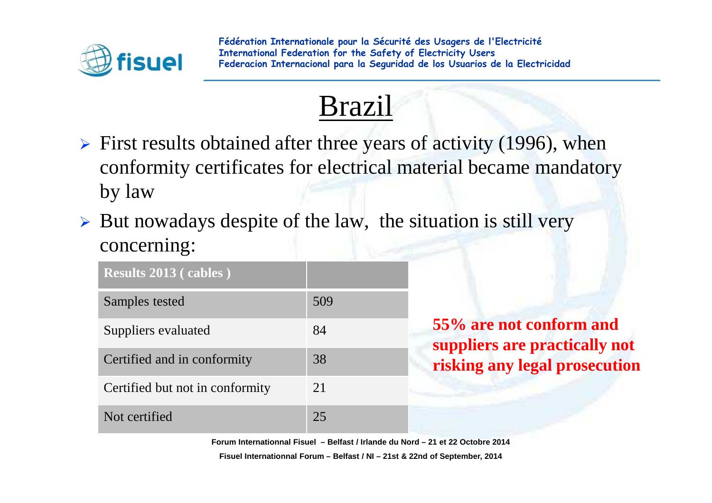

### Brazil

- $\triangleright$  First results obtained after three years of activity (1996), when conformity certificates for electrical material became mandatoryby law
- > But nowadays despite of the law, the situation is still very concerning:

| <b>Results 2013 (cables)</b>    |     |
|---------------------------------|-----|
| Samples tested                  | 509 |
| Suppliers evaluated             | 84  |
| Certified and in conformity     | 38  |
| Certified but not in conformity | 21  |
| Not certified                   | 25  |

**55% are not conform and suppliers are practically not risking any legal prosecution**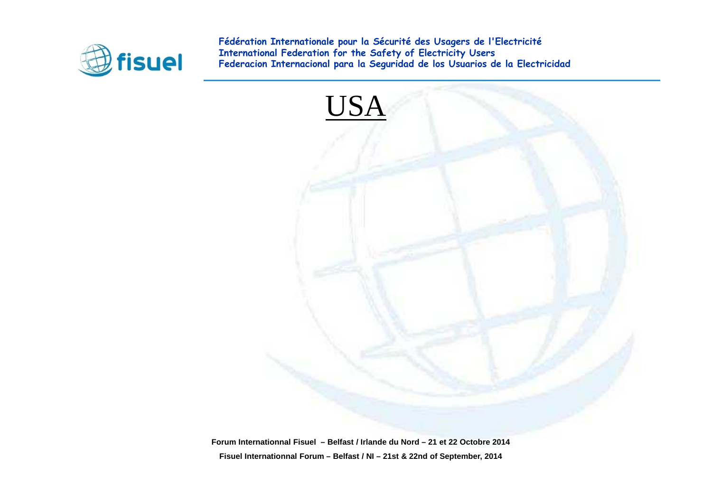

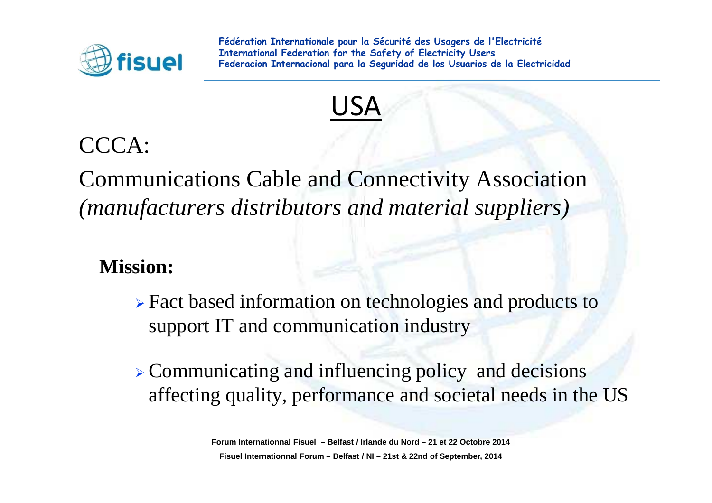



#### CCCA:

Communications Cable and Connectivity Association *(manufacturers distributors and material suppliers)*

**Mission:** 

 Fact based information on technologies and products to support IT and communication industry

 Communicating and influencing policy and decisions affecting quality, performance and societal needs in the US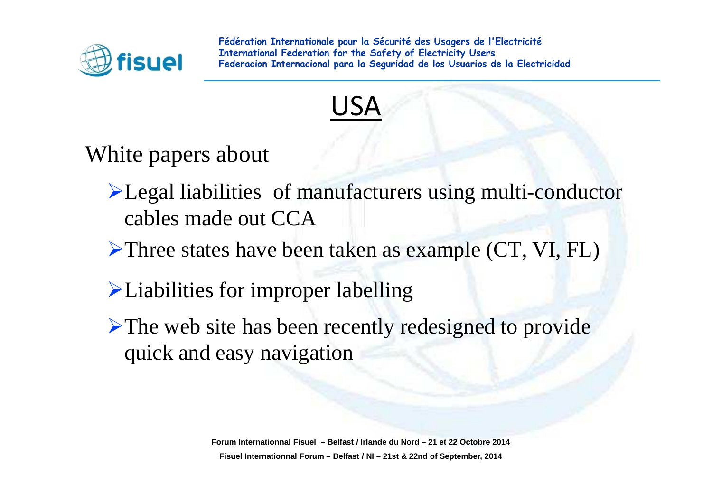



White papers about

- Legal liabilities of manufacturers using multi-conductorcables made out CCA
- ▶Three states have been taken as example (CT, VI, FL)
- Liabilities for improper labelling
- ▶ The web site has been recently redesigned to provide quick and easy navigation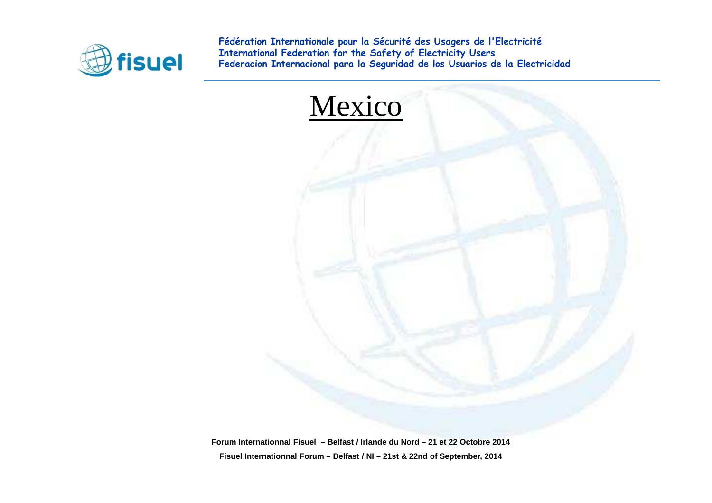

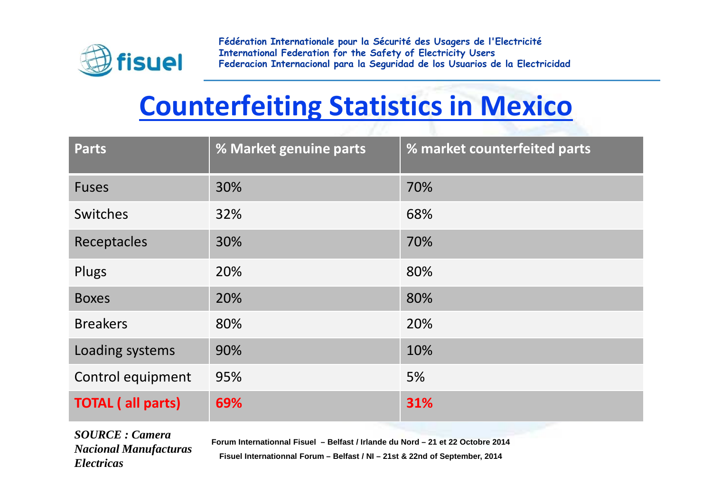

## **Counterfeiting Statistics in Mexico**

| <b>Parts</b>             | % Market genuine parts | % market counterfeited parts |
|--------------------------|------------------------|------------------------------|
| <b>Fuses</b>             | 30%                    | 70%                          |
| Switches                 | 32%                    | 68%                          |
| Receptacles              | 30%                    | 70%                          |
| Plugs                    | 20%                    | 80%                          |
| <b>Boxes</b>             | 20%                    | 80%                          |
| <b>Breakers</b>          | 80%                    | 20%                          |
| Loading systems          | 90%                    | 10%                          |
| Control equipment        | 95%                    | 5%                           |
| <b>TOTAL (all parts)</b> | 69%                    | 31%                          |

*SOURCE : Camera Nacional Manufacturas Electricas*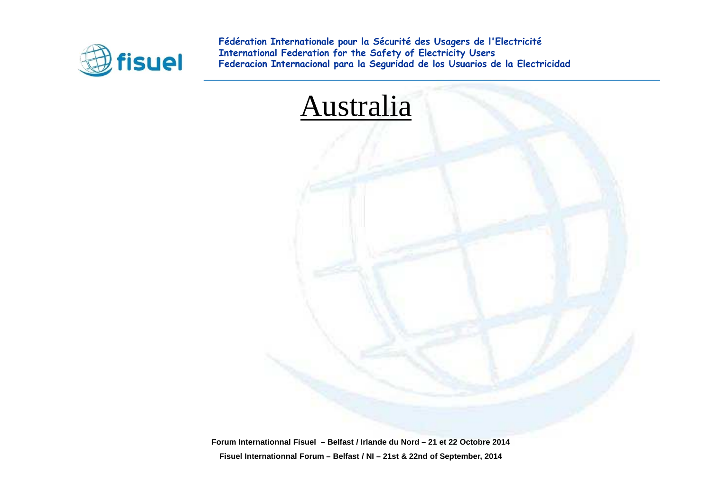

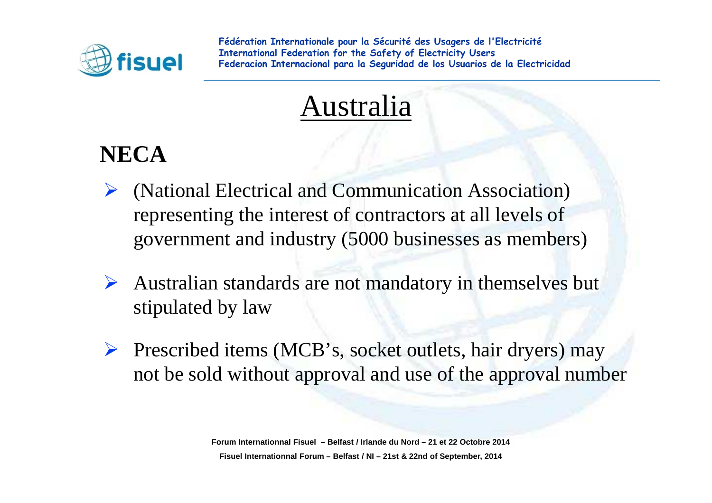

### Australia

### **NECA**

- $\blacktriangleright$  (National Electrical and Communication Association) representing the interest of contractors at all levels of governmen<sup>t</sup> and industry (5000 businesses as members)
- Australian standards are not mandatory in themselves but stipulated by law
- $\triangleright$  Prescribed items (MCB's, socket outlets, hair dryers) may not be sold without approval and use of the approval number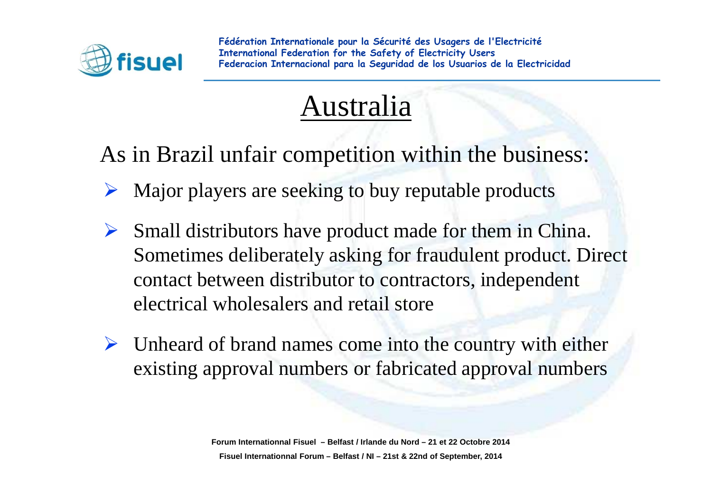

### Australia

As in Brazil unfair competition within the business:

- $\blacktriangleright$ Major players are seeking to buy reputable products
- $\blacktriangleright$  Small distributors have product made for them in China. Sometimes deliberately asking for fraudulent product. Direct contact between distributor to contractors, independentelectrical wholesalers and retail store
- $\triangleright$  Unheard of brand names come into the country with either existing approval numbers or fabricated approval numbers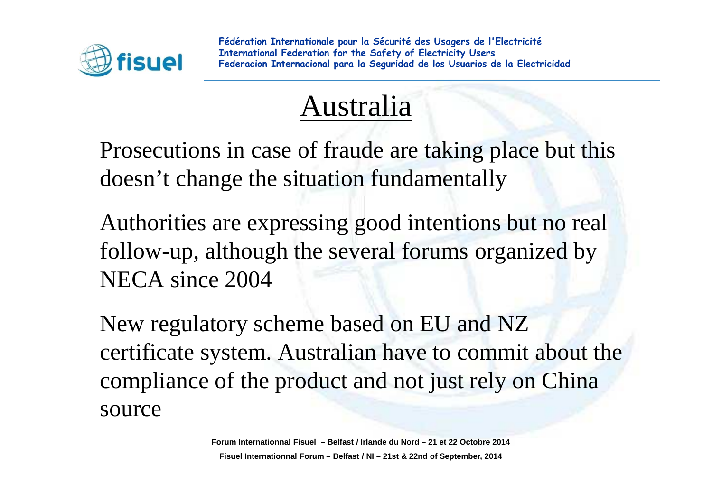

### Australia

Prosecutions in case of fraude are taking place but this doesn't change the situation fundamentally

Authorities are expressing good intentions but no real follow-up, although the several forums organized by NECA since 2004

New regulatory scheme based on EU and NZ certificate system. Australian have to commit about the compliance of the product and not just rely on China source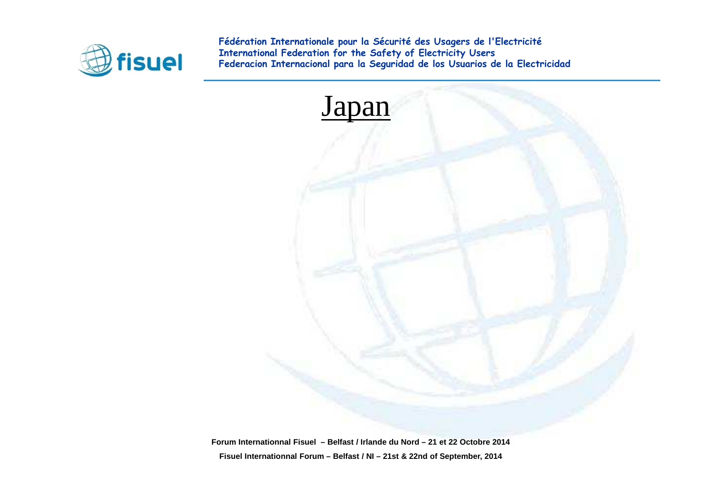

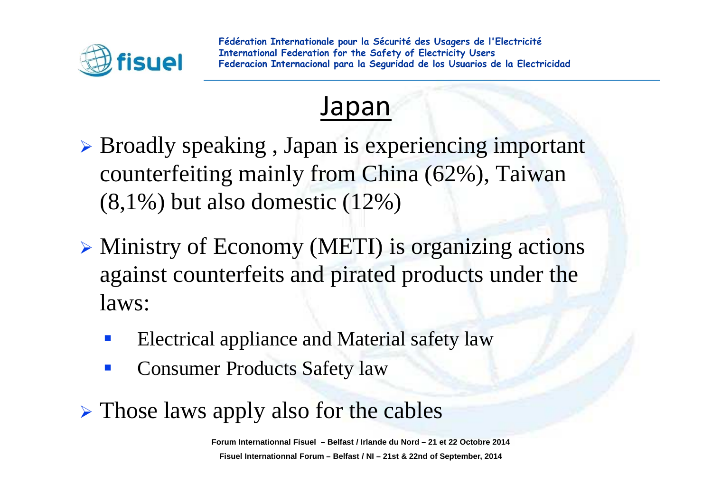

### Japan

- > Broadly speaking, Japan is experiencing important counterfeiting mainly from China (62%), Taiwan (8,1%) but also domestic (12%)
- Ministry of Economy (METI) is organizing actions against counterfeits and pirated products under the laws:
	- -Electrical appliance and Material safety law
	- -Consumer Products Safety law
- $\triangleright$  Those laws apply also for the cables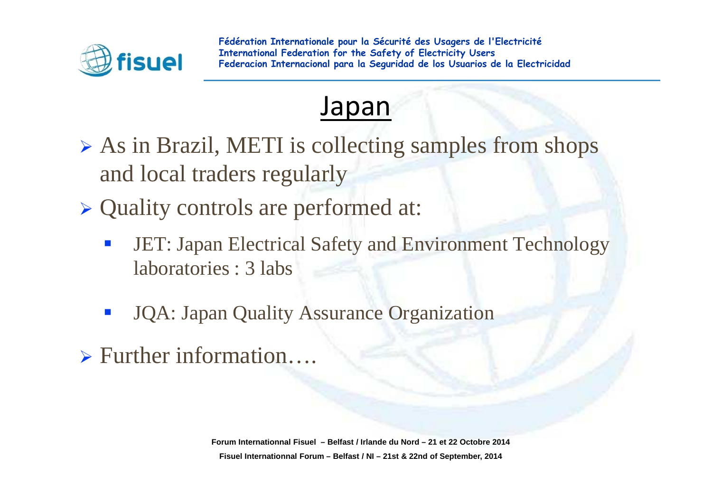



- As in Brazil, METI is collecting samples from shops and local traders regularly
- Quality controls are performed at:
	- -JET: Japan Electrical Safety and Environment Technology laboratories : 3 labs
	- -JQA: Japan Quality Assurance Organization
- Further information….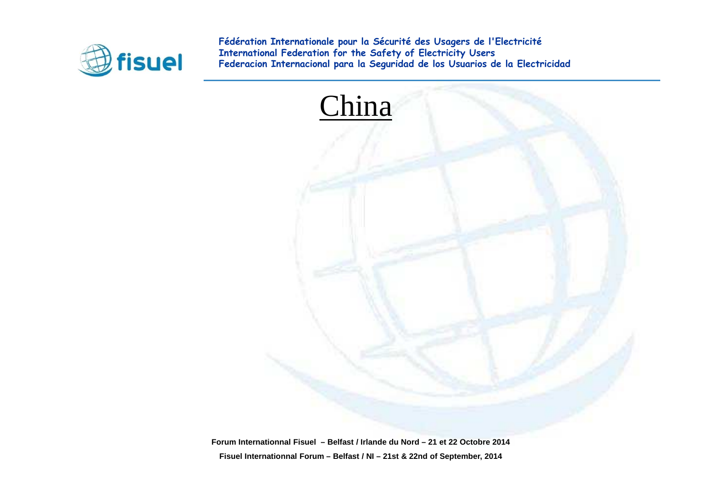

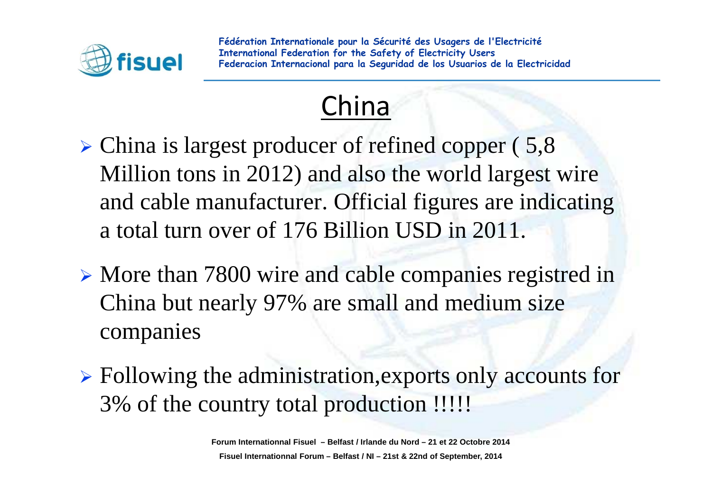

### China

- > China is largest producer of refined copper (5,8) Million tons in 2012) and also the world largest wire and cable manufacturer. Official figures are indicatinga total turn over of 176 Billion USD in 2011.
- > More than 7800 wire and cable companies registred in China but nearly 97% are small and medium size companies
- > Following the administration, exports only accounts for 3% of the country total production !!!!!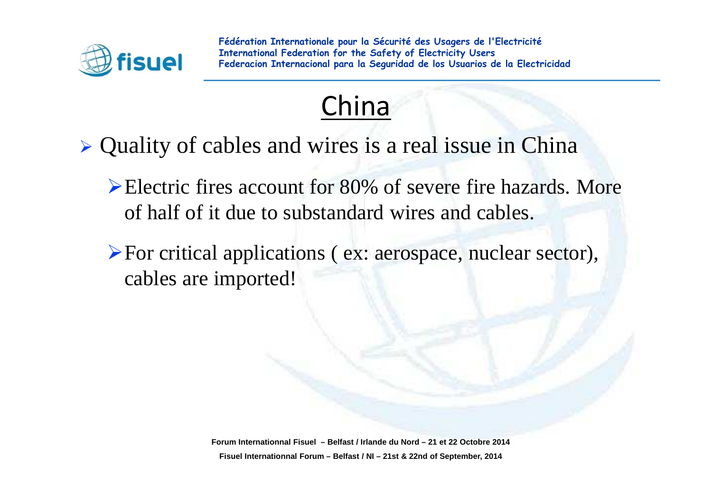

### China

- Quality of cables and wires is a real issue in China
	- Electric fires account for 80% of severe fire hazards. More of half of it due to substandard wires and cables.
	- For critical applications ( ex: aerospace, nuclear sector), cables are imported!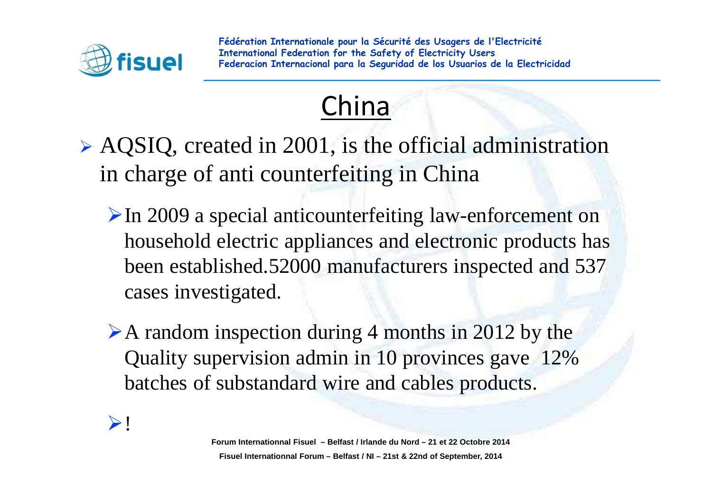

### China

- $\triangleright$  AQSIQ, created in 2001, is the official administration in charge of anti counterfeiting in China
	- $\triangleright$  In 2009 a special anticounterfeiting law-enforcement on household electric appliances and electronic products has been established.52000 manufacturers inspected and 537 cases investigated.
	- A random inspection during 4 months in 2012 by the Quality supervision admin in 10 provinces gave 12% batches of substandard wire and cables products.

#### $\blacktriangleright$  !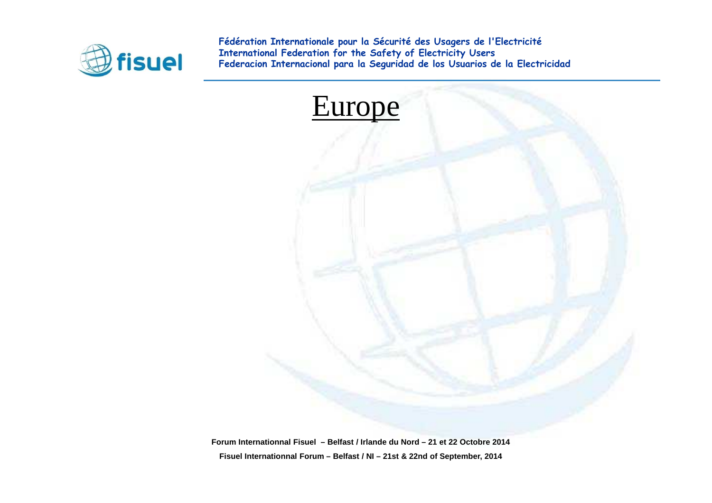

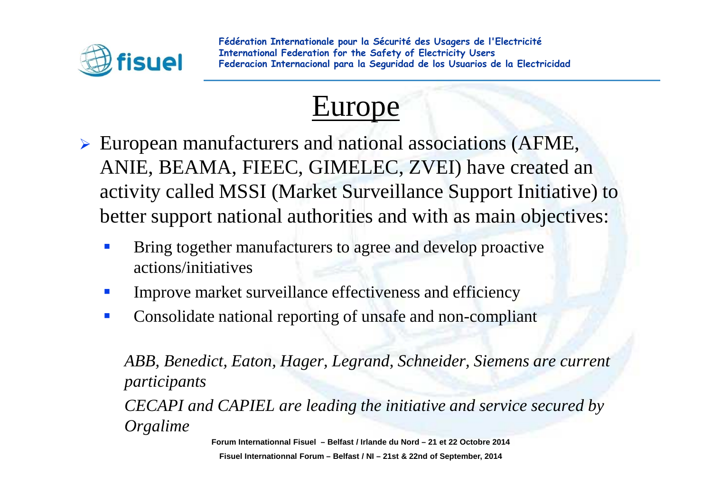



- European manufacturers and national associations (AFME, ANIE, BEAMA, FIEEC, GIMELEC, ZVEI) have created an activity called MSSI (Market Surveillance Support Initiative) to better support national authorities and with as main objectives:
	- - Bring together manufacturers to agree and develop proactive actions/initiatives
	- $\mathcal{L}_{\mathcal{A}}$ Improve market surveillance effectiveness and efficiency
	- $\mathbb{R}^n$ Consolidate national reporting of unsafe and non-compliant

*ABB, Benedict, Eaton, Hager, Legrand, Schneider, Siemens are current participantsCECAPI and CAPIEL are leading the initiative and service secured by Orgalime*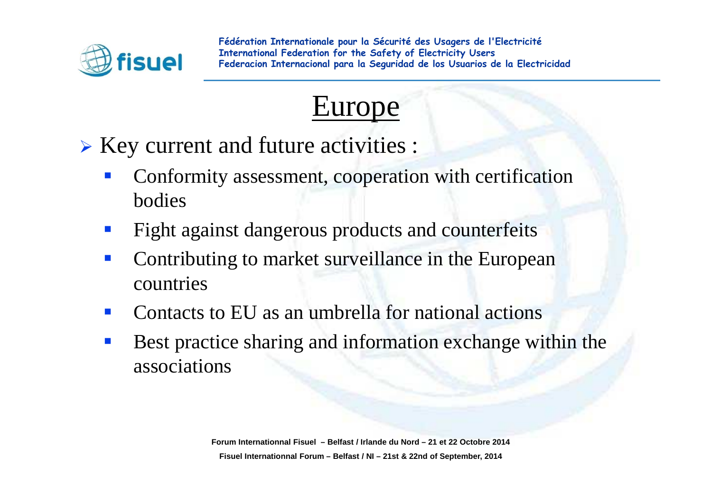



Key current and future activities :

- - Conformity assessment, cooperation with certification bodies
- -Fight against dangerous products and counterfeits
- - Contributing to market surveillance in the European countries
- -Contacts to EU as an umbrella for national actions
- - Best practice sharing and information exchange within the associations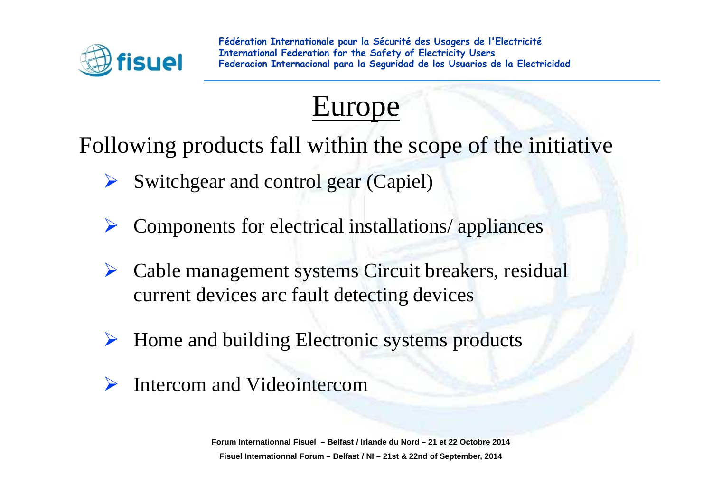



Following products fall within the scope of the initiative

- $\blacktriangleright$ Switchgear and control gear (Capiel)
- $\blacktriangleright$ Components for electrical installations/ appliances
- $\sum_{i=1}^{n}$  Cable management systems Circuit breakers, residual current devices arc fault detecting devices
- $\sum_{i=1}^{n}$ Home and building Electronic systems products
- $\blacktriangleright$ Intercom and Videointercom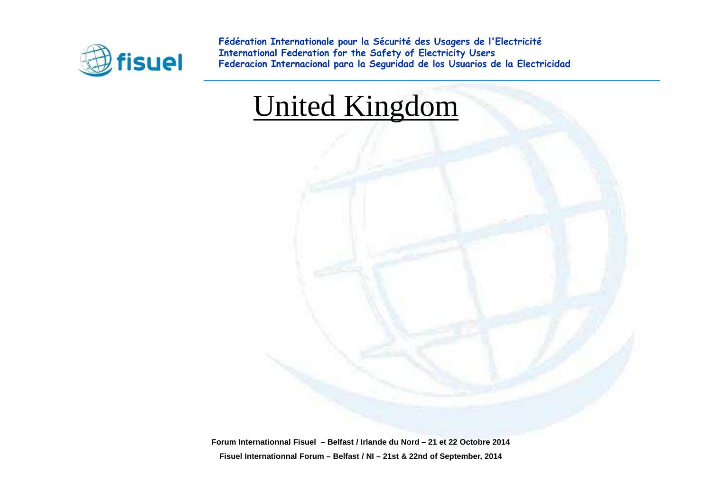

### United Kingdom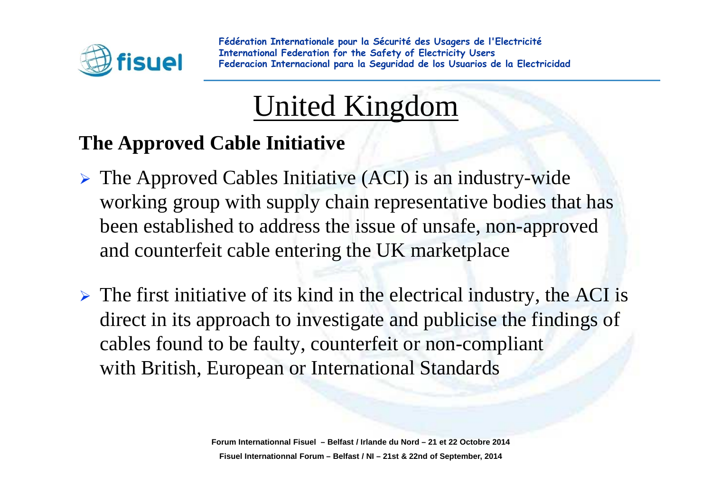

## United Kingdom

#### **The Approved Cable Initiative**

- The Approved Cables Initiative (ACI) is an industry-wide working group with supply chain representative bodies that has been established to address the issue of unsafe, non-approved and counterfeit cable entering the UK marketplace
- $\triangleright$  The first initiative of its kind in the electrical industry, the ACI is direct in its approach to investigate and publicise the findings of cables found to be faulty, counterfeit or non-compliant with British, European or International Standards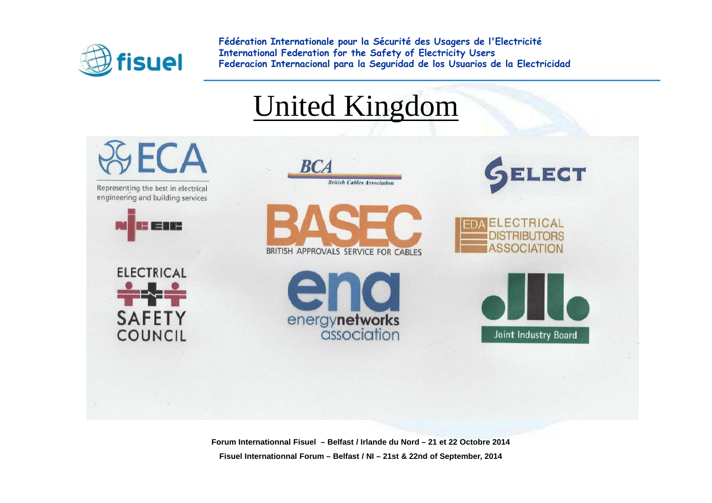

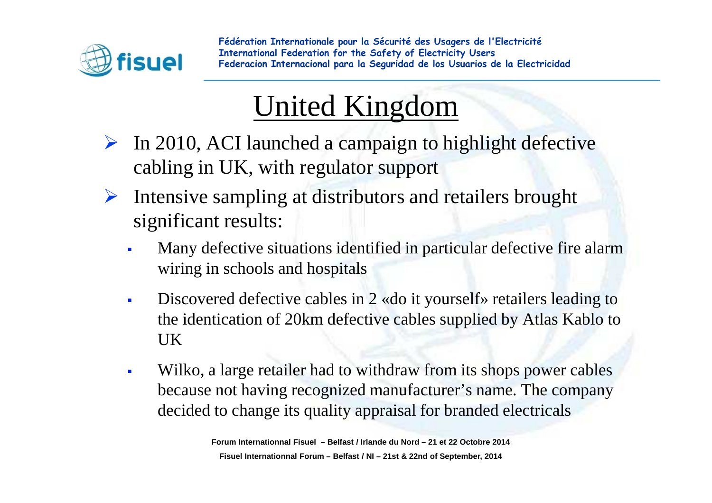

## United Kingdom

- $\triangleright$  In 2010, ACI launched a campaign to highlight defective cabling in UK, with regulator suppor<sup>t</sup>
- $\blacktriangleright$  Intensive sampling at distributors and retailers brought significant results:
	- - Many defective situations identified in particular defective fire alarmwiring in schools and hospitals
	- - Discovered defective cables in 2 «do it yourself» retailers leading to the identication of 20km defective cables supplied by Atlas Kablo to UK
	- - Wilko, a large retailer had to withdraw from its shops power cablesbecause not having recognized manufacturer's name. The companydecided to change its quality appraisal for branded electricals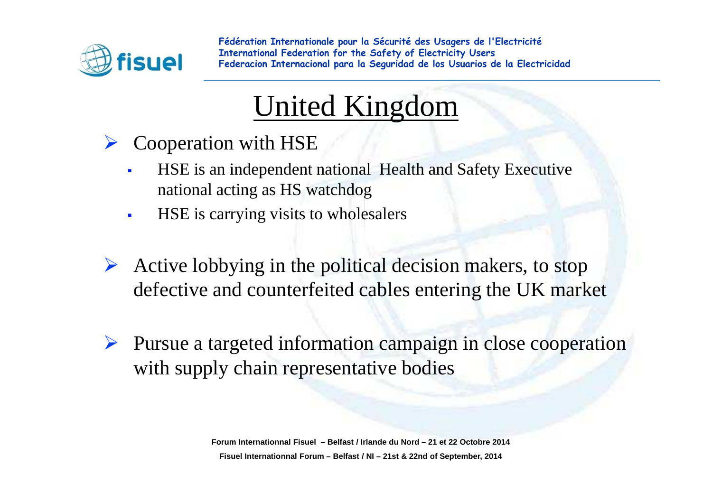

### United Kingdom

- $\blacktriangleright$  Cooperation with HSE
	- - HSE is an independent national Health and Safety Executivenational acting as HS watchdog
	- -HSE is carrying visits to wholesalers
- Active lobbying in the political decision makers, to stop defective and counterfaited solds extension the  $I\,W$  mode defective and counterfeited cables entering the UK market
- Pursue a targeted information campaign in close cooperation with supply chain representative bodies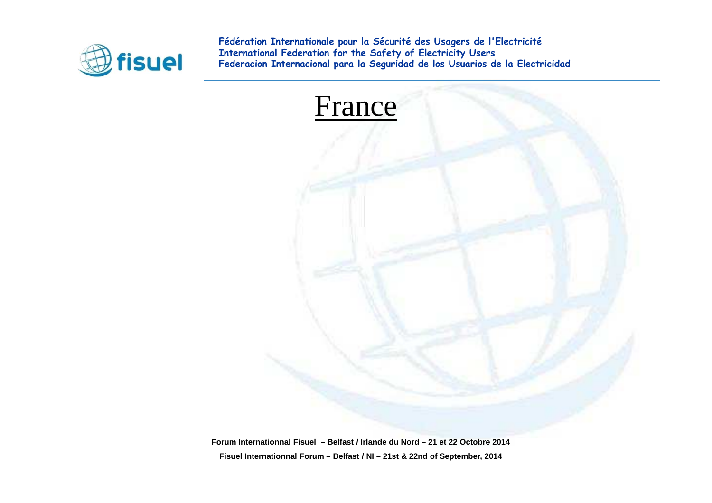

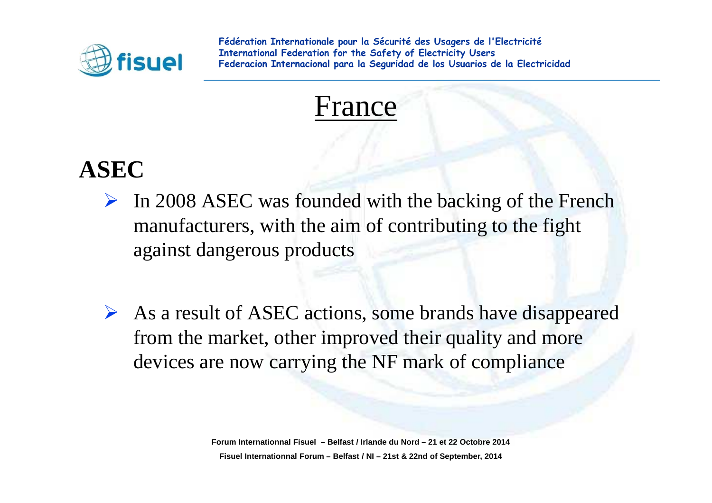



### **ASEC**

- $\triangleright$  In 2008 ASEC was founded with the backing of the French manufacturers, with the aim of contributing to the fight against dangerous products
- $\triangleright$  As a result of ASEC actions, some brands have disappeared from the market, other improved their quality and more devices are now carrying the NF mark of compliance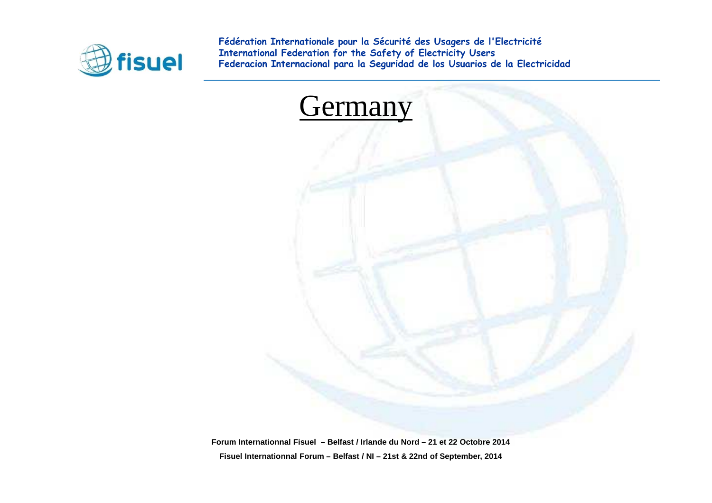

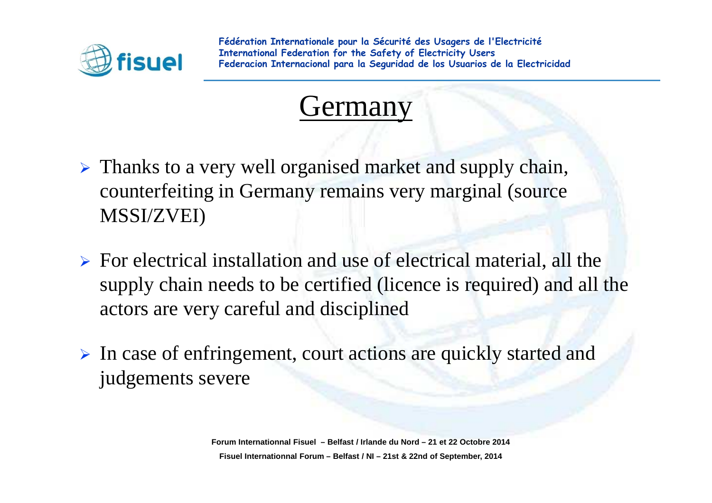



- $\triangleright$  Thanks to a very well organised market and supply chain, counterfeiting in Germany remains very marginal (source MSSI/ZVEI)
- $\triangleright$  For electrical installation and use of electrical material, all the supply chain needs to be certified (licence is required) and all the actors are very careful and disciplined
- In case of enfringement, court actions are quickly started and judgements severe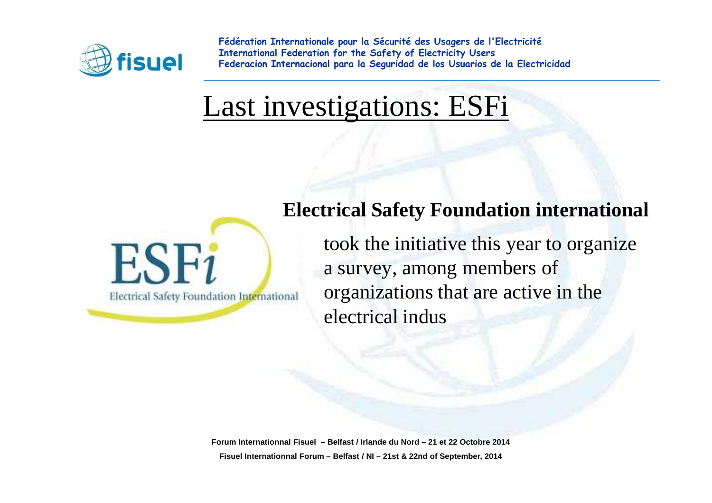

### Last investigations: ESFi



**Electrical Safety Foundation international** 

took the initiative this year to organizea survey, among members of organizations that are active in the electrical indus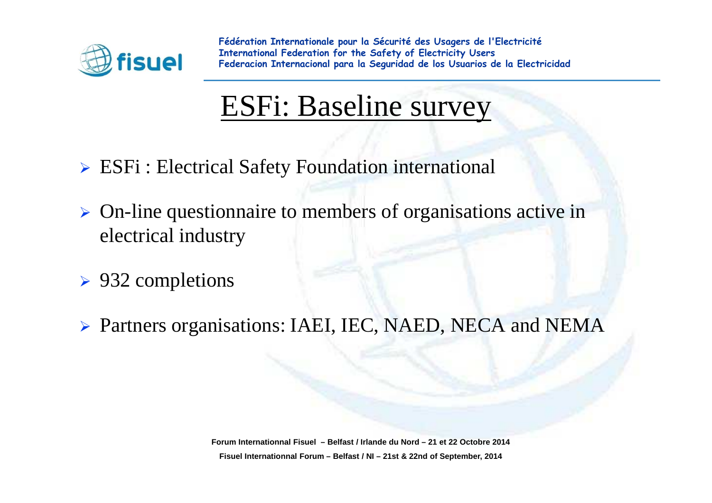

### ESFi: Baseline survey

- ESFi : Electrical Safety Foundation international
- $\triangleright$  On-line questionnaire to members of organisations active in electrical industry
- ▶ 932 completions
- Partners organisations: IAEI, IEC, NAED, NECA and NEMA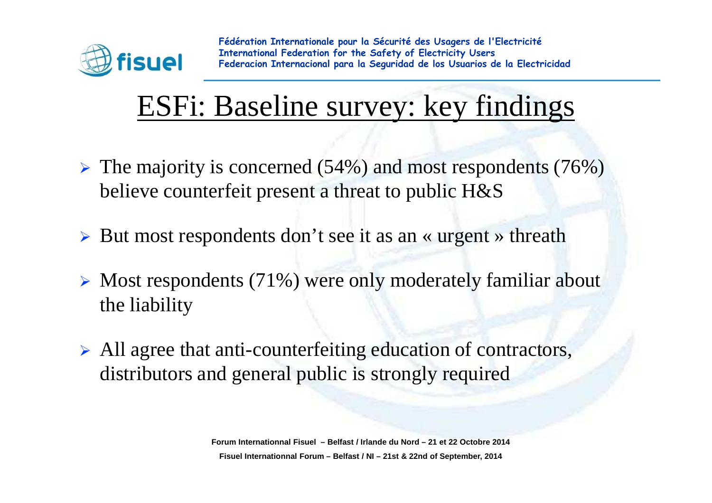

## ESFi: Baseline survey: key findings

- $\triangleright$  The majority is concerned (54%) and most respondents (76%) believe counterfeit presen<sup>t</sup> a threat to public H&S
- ▶ But most respondents don't see it as an « urgent » threath
- $\triangleright$  Most respondents (71%) were only moderately familiar about the liability
- All agree that anti-counterfeiting education of contractors, distributors and general public is strongly required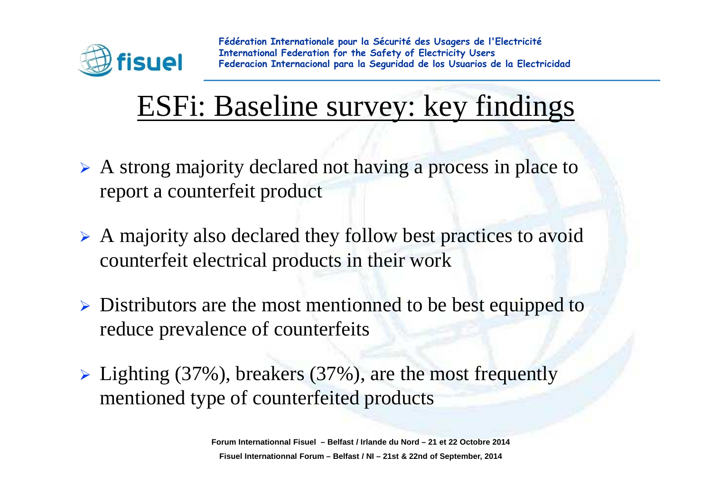

## ESFi: Baseline survey: key findings

- $\triangleright$  A strong majority declared not having a process in place to report a counterfeit product
- A majority also declared they follow best practices to avoid counterfeit electrical products in their work
- $\triangleright$  Distributors are the most mentionned to be best equipped to reduce prevalence of counterfeits
- ► Lighting (37%), breakers (37%), are the most frequently mentioned type of counterfeited products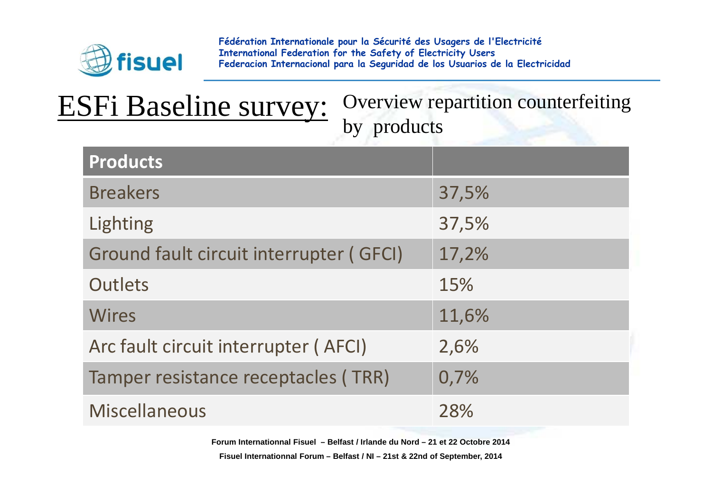

| <b>ESFi Baseline survey:</b> |  |  |
|------------------------------|--|--|
|                              |  |  |

Overview repartition counterfeiting by products

| <b>Products</b>                         |       |
|-----------------------------------------|-------|
| <b>Breakers</b>                         | 37,5% |
| Lighting                                | 37,5% |
| Ground fault circuit interrupter (GFCI) | 17,2% |
| <b>Outlets</b>                          | 15%   |
| <b>Wires</b>                            | 11,6% |
| Arc fault circuit interrupter (AFCI)    | 2,6%  |
| Tamper resistance receptacles (TRR)     | 0,7%  |
| <b>Miscellaneous</b>                    | 28%   |

**Forum Internationnal Fisuel – Belfast / Irlande du Nord – 21 et 22 Octobre 2014**

**Fisuel Internationnal Forum – Belfast / NI – 21st & 22nd of September, 2014**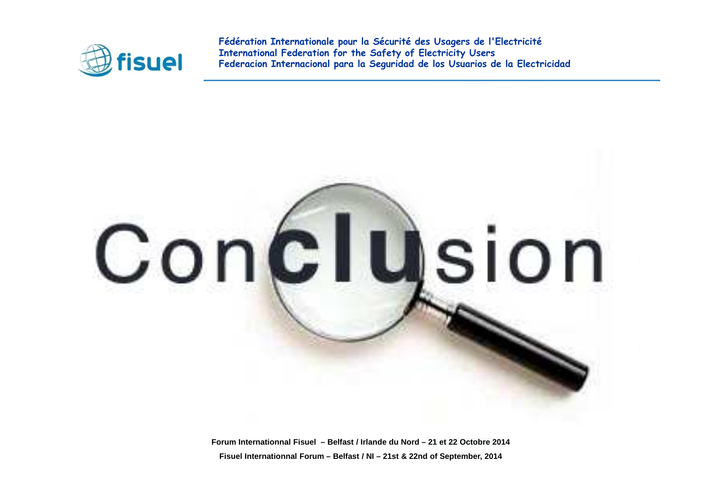

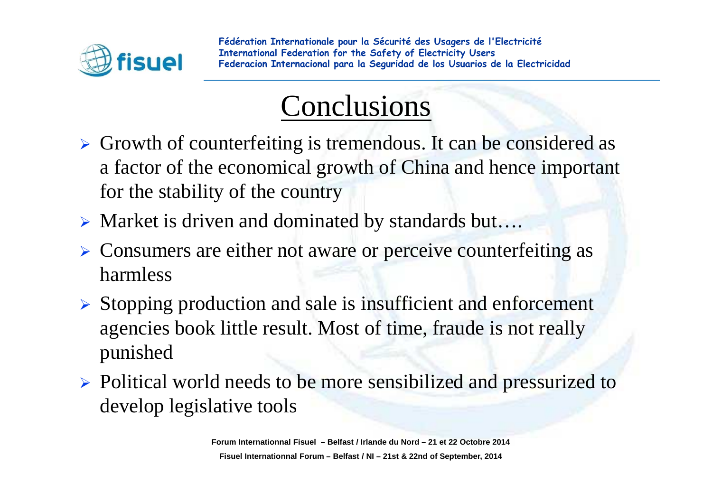

## Conclusions

- $\triangleright$  Growth of counterfeiting is tremendous. It can be considered as a factor of the economical growth of China and hence important for the stability of the country
- ▶ Market is driven and dominated by standards but....
- > Consumers are either not aware or perceive counterfeiting as harmless
- Stopping production and sale is insufficient and enforcement agencies book little result. Most of time, fraude is not reallypunished
- > Political world needs to be more sensibilized and pressurized to develop legislative tools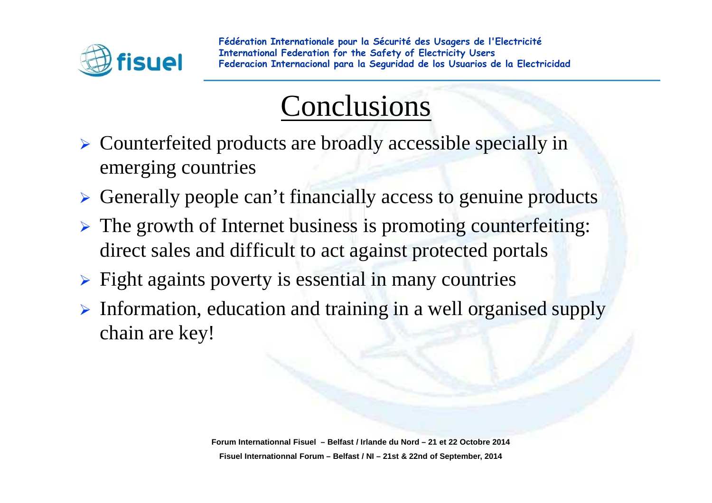

## Conclusions

- > Counterfeited products are broadly accessible specially in emerging countries
- Generally people can't financially access to genuine products
- > The growth of Internet business is promoting counterfeiting: direct sales and difficult to act against protected portals
- > Fight againts poverty is essential in many countries
- > Information, education and training in a well organised supply chain are key!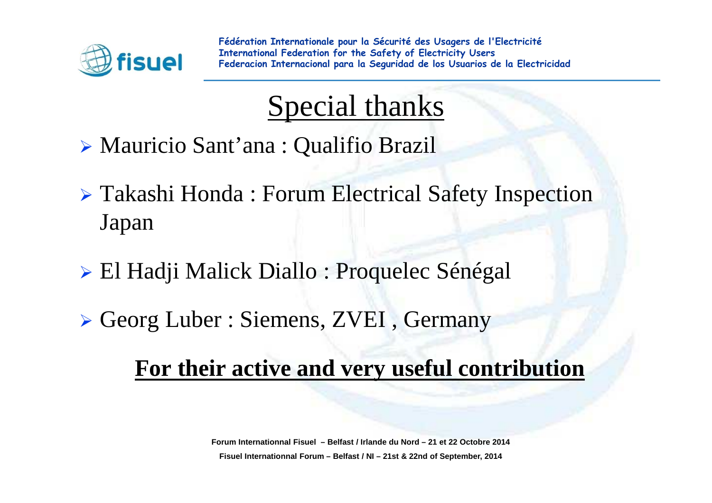

## Special thanks

- Mauricio Sant'ana : Qualifio Brazil
- Takashi Honda : Forum Electrical Safety Inspection Japan
- El Hadji Malick Diallo : Proquelec Sénégal
- Georg Luber : Siemens, ZVEI , Germany

#### **For their active and very useful contribution**